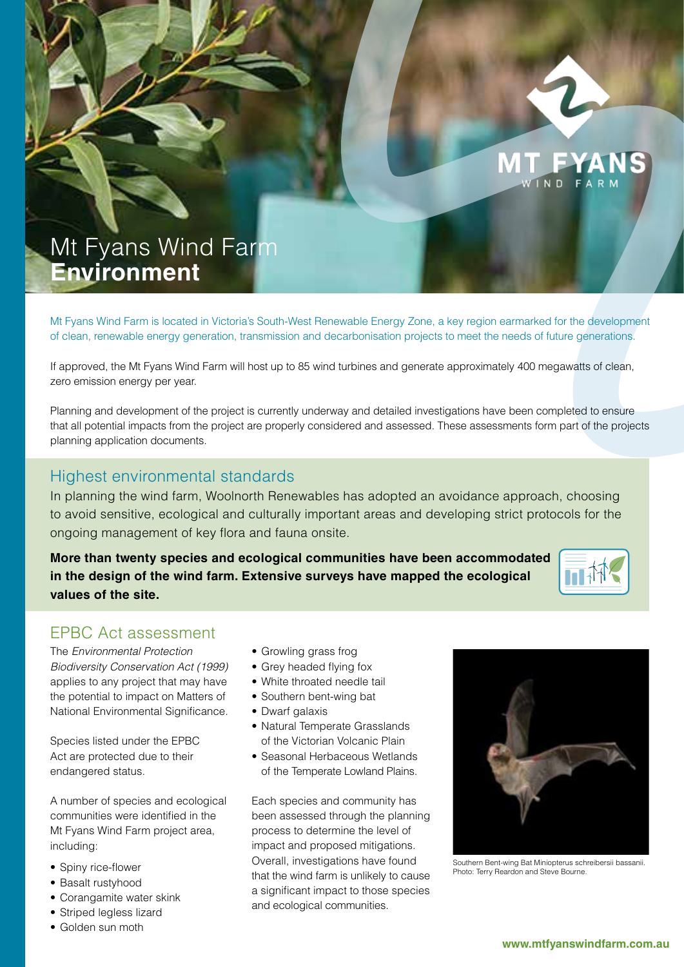

**MT FYA** 

# Mt Fyans Wind Farm **Environment**

Mt Fyans Wind Farm is located in Victoria's South-West Renewable Energy Zone, a key region earmarked for the development of clean, renewable energy generation, transmission and decarbonisation projects to meet the needs of future generations.

If approved, the Mt Fyans Wind Farm will host up to 85 wind turbines and generate approximately 400 megawatts of clean, zero emission energy per year.

Planning and development of the project is currently underway and detailed investigations have been completed to ensure that all potential impacts from the project are properly considered and assessed. These assessments form part of the projects planning application documents.

#### Highest environmental standards

In planning the wind farm, Woolnorth Renewables has adopted an avoidance approach, choosing to avoid sensitive, ecological and culturally important areas and developing strict protocols for the ongoing management of key flora and fauna onsite.

**More than twenty species and ecological communities have been accommodated in the design of the wind farm. Extensive surveys have mapped the ecological values of the site.**



# EPBC Act assessment

The *Environmental Protection Biodiversity Conservation Act (1999)*  applies to any project that may have the potential to impact on Matters of National Environmental Significance.

Species listed under the EPBC Act are protected due to their endangered status.

A number of species and ecological communities were identified in the Mt Fyans Wind Farm project area, including:

- Spiny rice-flower
- Basalt rustyhood
- Corangamite water skink
- Striped legless lizard
- • Golden sun moth
- • Growling grass frog
- Grey headed flying fox
- • White throated needle tail
- Southern bent-wing bat
- Dwarf galaxis
- Natural Temperate Grasslands of the Victorian Volcanic Plain
- Seasonal Herbaceous Wetlands of the Temperate Lowland Plains.

Each species and community has been assessed through the planning process to determine the level of impact and proposed mitigations. Overall, investigations have found that the wind farm is unlikely to cause a significant impact to those species and ecological communities.



Southern Bent-wing Bat Miniopterus schreibersii bassanii. Photo: Terry Reardon and Steve Bourne.